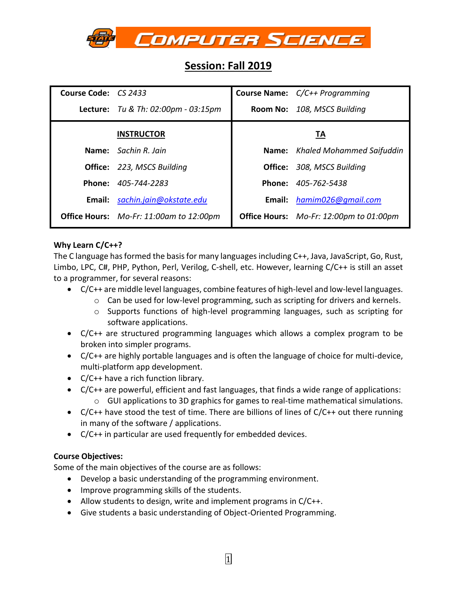

# **Session: Fall 2019**

| Course Code: CS 2433 |                                            | Course Name: C/C++ Programming                 |                                 |  |
|----------------------|--------------------------------------------|------------------------------------------------|---------------------------------|--|
|                      | <b>Lecture:</b> Tu & Th: 02:00pm - 03:15pm | Room No: 108, MSCS Building                    |                                 |  |
|                      | <b>INSTRUCTOR</b>                          | ТA                                             |                                 |  |
|                      | Name: Sachin R. Jain                       |                                                | Name: Khaled Mohammed Saifuddin |  |
|                      | <b>Office:</b> 223, MSCS Building          | <b>Office:</b> 308, MSCS Building              |                                 |  |
|                      | Phone: 405-744-2283                        | Phone: 405-762-5438                            |                                 |  |
| Email:               | sachin.jain@okstate.edu                    | Email: hamim026@gmail.com                      |                                 |  |
|                      | Office Hours: Mo-Fr: 11:00am to 12:00pm    | <b>Office Hours:</b> Mo-Fr: 12:00pm to 01:00pm |                                 |  |

# **Why Learn C/C++?**

The C language has formed the basis for many languages including C++, Java, JavaScript, Go, Rust, Limbo, LPC, C#, PHP, Python, Perl, Verilog, C-shell, etc. However, learning C/C++ is still an asset to a programmer, for several reasons:

- C/C++ are middle level languages, combine features of high-level and low-level languages.
	- $\circ$  Can be used for low-level programming, such as scripting for drivers and kernels.
	- o Supports functions of high-level programming languages, such as scripting for software applications.
- C/C++ are structured programming languages which allows a complex program to be broken into simpler programs.
- C/C++ are highly portable languages and is often the language of choice for multi-device, multi-platform app development.
- C/C++ have a rich function library.
- C/C++ are powerful, efficient and fast languages, that finds a wide range of applications:  $\circ$  GUI applications to 3D graphics for games to real-time mathematical simulations.
- $C/C++$  have stood the test of time. There are billions of lines of  $C/C++$  out there running in many of the software / applications.
- C/C++ in particular are used frequently for embedded devices.

# **Course Objectives:**

Some of the main objectives of the course are as follows:

- Develop a basic understanding of the programming environment.
- Improve programming skills of the students.
- Allow students to design, write and implement programs in C/C++.
- Give students a basic understanding of Object-Oriented Programming.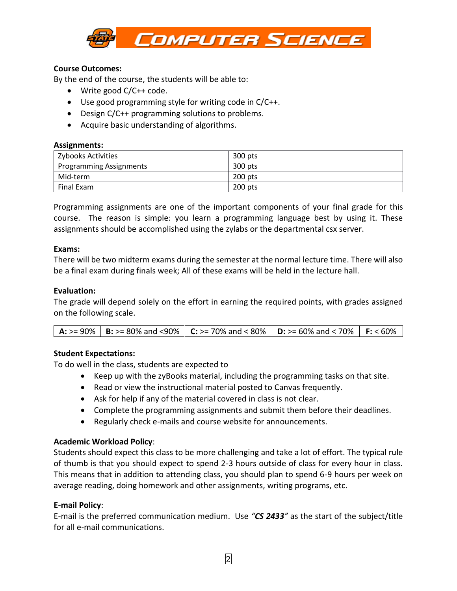

## **Course Outcomes:**

By the end of the course, the students will be able to:

- Write good C/C++ code.
- Use good programming style for writing code in C/C++.
- Design C/C++ programming solutions to problems.
- Acquire basic understanding of algorithms.

#### **Assignments:**

| Zybooks Activities             | 300 pts   |
|--------------------------------|-----------|
| <b>Programming Assignments</b> | 300 pts   |
| Mid-term                       | 200 pts   |
| Final Exam                     | $200$ pts |

Programming assignments are one of the important components of your final grade for this course. The reason is simple: you learn a programming language best by using it. These assignments should be accomplished using the zylabs or the departmental csx server.

#### **Exams:**

There will be two midterm exams during the semester at the normal lecture time. There will also be a final exam during finals week; All of these exams will be held in the lecture hall.

#### **Evaluation:**

The grade will depend solely on the effort in earning the required points, with grades assigned on the following scale.

## **Student Expectations:**

To do well in the class, students are expected to

- Keep up with the zyBooks material, including the programming tasks on that site.
- Read or view the instructional material posted to Canvas frequently.
- Ask for help if any of the material covered in class is not clear.
- Complete the programming assignments and submit them before their deadlines.
- Regularly check e-mails and course website for announcements.

## **Academic Workload Policy**:

Students should expect this class to be more challenging and take a lot of effort. The typical rule of thumb is that you should expect to spend 2-3 hours outside of class for every hour in class. This means that in addition to attending class, you should plan to spend 6-9 hours per week on average reading, doing homework and other assignments, writing programs, etc.

## **E-mail Policy**:

E-mail is the preferred communication medium. Use *"CS 2433"* as the start of the subject/title for all e-mail communications.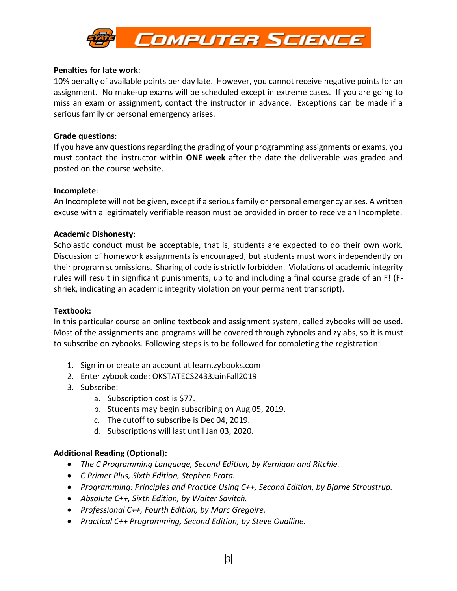

#### **Penalties for late work**:

10% penalty of available points per day late. However, you cannot receive negative points for an assignment. No make-up exams will be scheduled except in extreme cases. If you are going to miss an exam or assignment, contact the instructor in advance. Exceptions can be made if a serious family or personal emergency arises.

#### **Grade questions**:

If you have any questions regarding the grading of your programming assignments or exams, you must contact the instructor within **ONE week** after the date the deliverable was graded and posted on the course website.

#### **Incomplete**:

An Incomplete will not be given, except if a serious family or personal emergency arises. A written excuse with a legitimately verifiable reason must be provided in order to receive an Incomplete.

## **Academic Dishonesty**:

Scholastic conduct must be acceptable, that is, students are expected to do their own work. Discussion of homework assignments is encouraged, but students must work independently on their program submissions. Sharing of code is strictly forbidden. Violations of academic integrity rules will result in significant punishments, up to and including a final course grade of an F! (Fshriek, indicating an academic integrity violation on your permanent transcript).

#### **Textbook:**

In this particular course an online textbook and assignment system, called zybooks will be used. Most of the assignments and programs will be covered through zybooks and zylabs, so it is must to subscribe on zybooks. Following steps is to be followed for completing the registration:

- 1. Sign in or create an account at learn.zybooks.com
- 2. Enter zybook code: OKSTATECS2433JainFall2019
- 3. Subscribe:
	- a. Subscription cost is \$77.
	- b. Students may begin subscribing on Aug 05, 2019.
	- c. The cutoff to subscribe is Dec 04, 2019.
	- d. Subscriptions will last until Jan 03, 2020.

## **Additional Reading (Optional):**

- *The C Programming Language, Second Edition, by Kernigan and Ritchie.*
- *C Primer Plus, Sixth Edition, Stephen Prata.*
- *Programming: Principles and Practice Using C++, Second Edition, by Bjarne Stroustrup.*
- *Absolute C++, Sixth Edition, by Walter Savitch.*
- *Professional C++, Fourth Edition, by Marc Gregoire.*
- *Practical C++ Programming, Second Edition, by Steve Oualline.*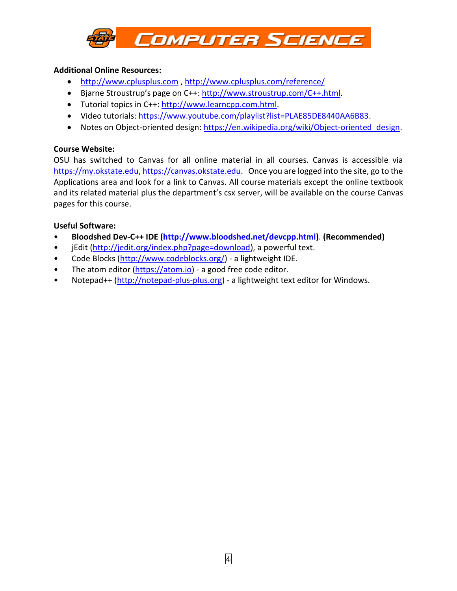

## **Additional Online Resources:**

- [http://www.cplusplus.com](http://www.cplusplus.com/) ,<http://www.cplusplus.com/reference/>
- Bjarne Stroustrup's page on C++: [http://www.stroustrup.com/C++.](http://www.stroustrup.com/C++)html.
- Tutorial topics in C++: [http://www.learncpp.com.](http://www.learncpp.com/)html.
- Video tutorials: [https://www.youtube.com/playlist?list=PLAE85DE8440AA6B83.](https://www.youtube.com/playlist?list=PLAE85DE8440AA6B83)
- Notes on Object-oriented design: https://en.wikipedia.org/wiki/Object-oriented design.

## **Course Website:**

OSU has switched to Canvas for all online material in all courses. Canvas is accessible via [https://my.okstate.edu,](https://my.okstate.edu/) [https://canvas.okstate.edu.](https://canvas.okstate.edu/) Once you are logged into the site, go to the Applications area and look for a link to Canvas. All course materials except the online textbook and its related material plus the department's csx server, will be available on the course Canvas pages for this course.

# **Useful Software:**

- **Bloodshed Dev-C++ IDE [\(http://www.bloodshed.net/devcpp.html\)](http://www.bloodshed.net/devcpp.html)**. **(Recommended)**
- jEdit [\(http://jedit.org/index.php?page=download\)](http://jedit.org/index.php?page=download), a powerful text.
- Code Blocks [\(http://www.codeblocks.org/\)](http://www.codeblocks.org/) a lightweight IDE.
- The atom editor [\(https://atom.io\)](https://atom.io/) a good free code editor.
- Notepad++ [\(http://notepad-plus-plus.org\)](http://notepad-plus-plus.org/) a lightweight text editor for Windows.